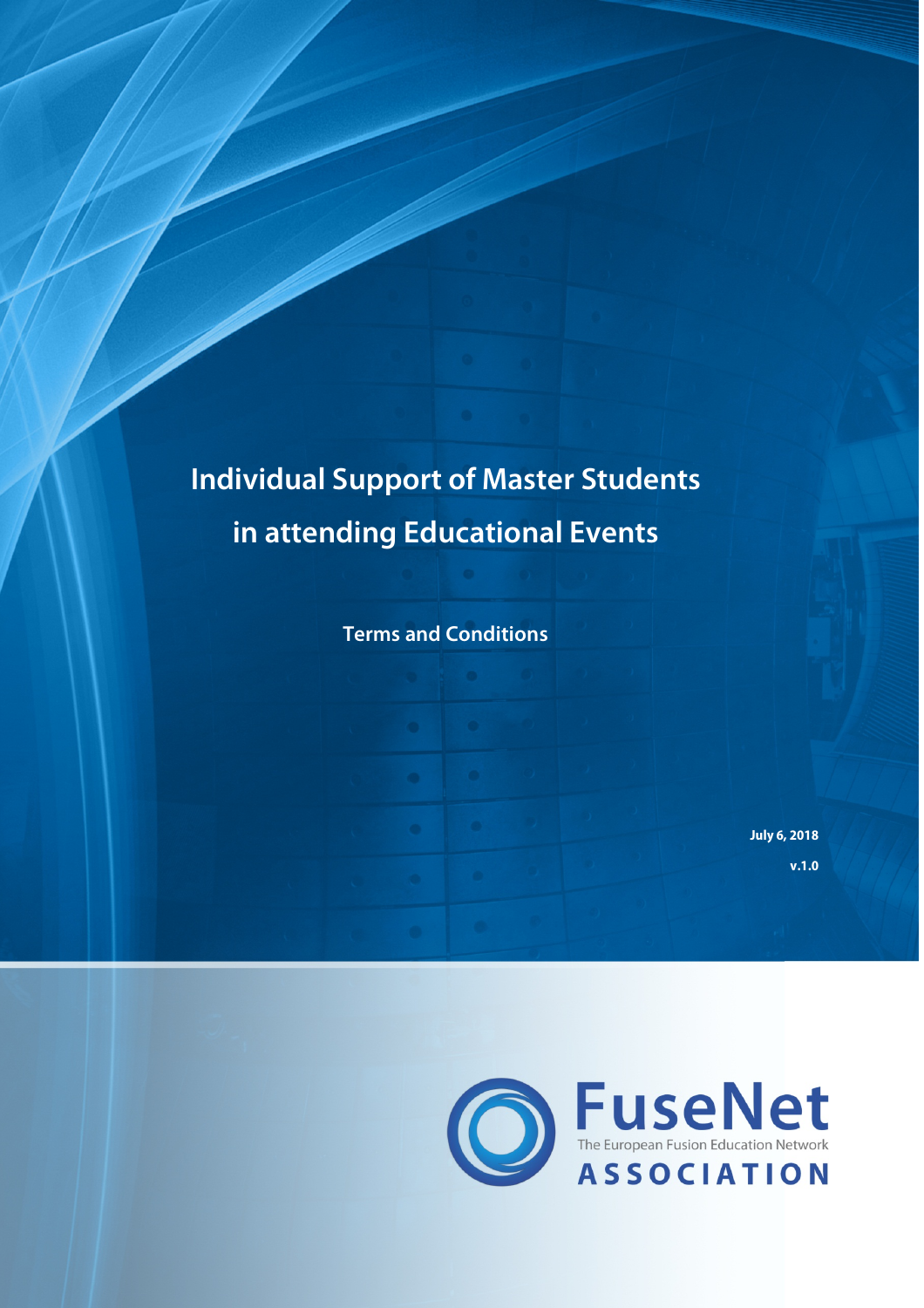# **Individual Support of Master Students in attending Educational Events**

**Terms and Conditions**

**July 6, 2018 v.1.0**

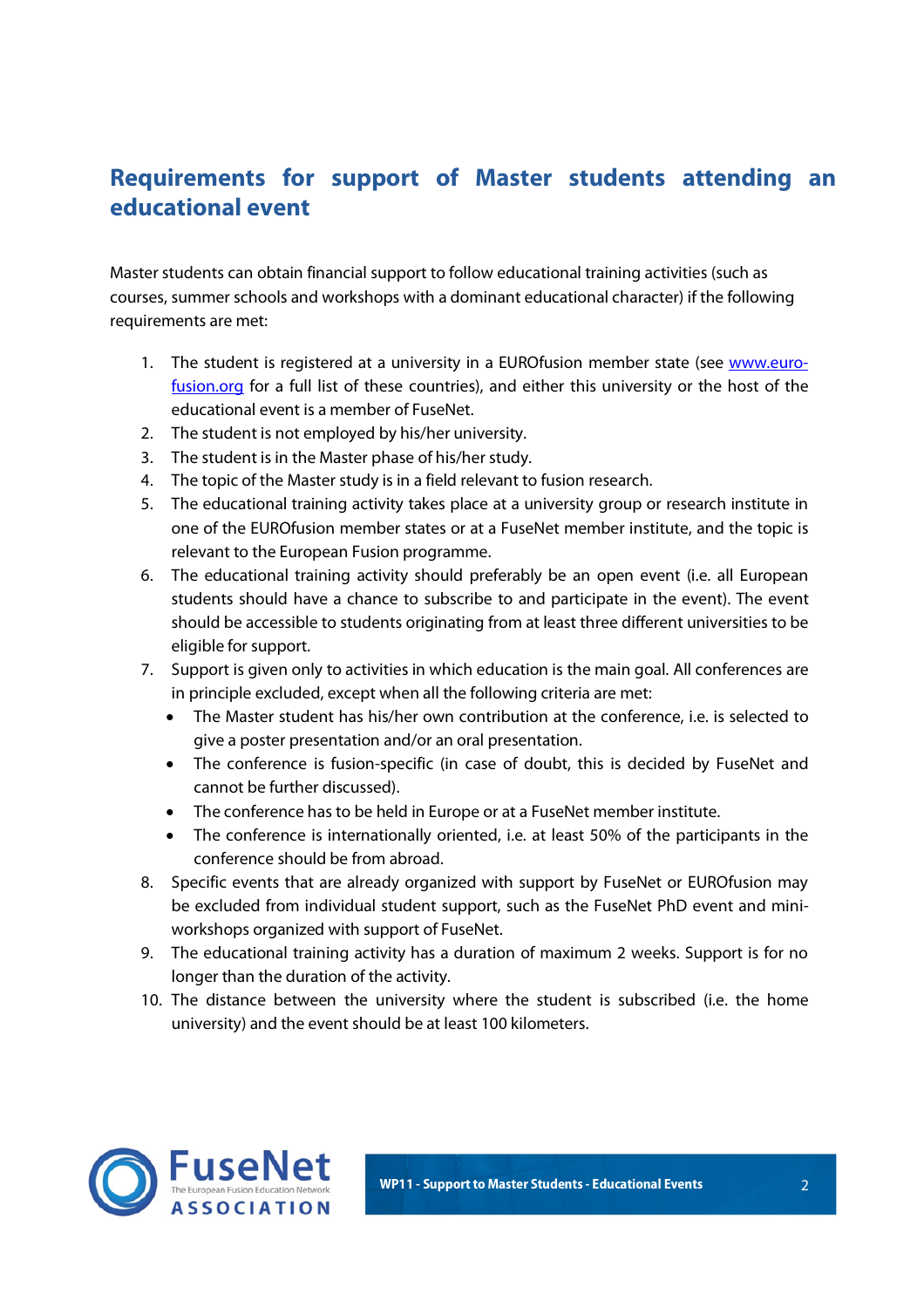## **Requirements for support of Master students attending an educational event**

Master students can obtain financial support to follow educational training activities (such as courses, summer schools and workshops with a dominant educational character) if the following requirements are met:

- 1. The student is registered at a university in a EUROfusion member state (see www.eurofusion.org for a full list of these countries), and either this university or the host of the educational event is a member of FuseNet.
- 2. The student is not employed by his/her university.
- 3. The student is in the Master phase of his/her study.
- 4. The topic of the Master study is in a field relevant to fusion research.
- 5. The educational training activity takes place at a university group or research institute in one of the EUROfusion member states or at a FuseNet member institute, and the topic is relevant to the European Fusion programme.
- 6. The educational training activity should preferably be an open event (i.e. all European students should have a chance to subscribe to and participate in the event). The event should be accessible to students originating from at least three different universities to be eligible for support.
- 7. Support is given only to activities in which education is the main goal. All conferences are in principle excluded, except when all the following criteria are met:
	- The Master student has his/her own contribution at the conference, i.e. is selected to give a poster presentation and/or an oral presentation.
	- The conference is fusion-specific (in case of doubt, this is decided by FuseNet and cannot be further discussed).
	- The conference has to be held in Europe or at a FuseNet member institute.
	- The conference is internationally oriented, i.e. at least 50% of the participants in the conference should be from abroad.
- 8. Specific events that are already organized with support by FuseNet or EUROfusion may be excluded from individual student support, such as the FuseNet PhD event and miniworkshops organized with support of FuseNet.
- 9. The educational training activity has a duration of maximum 2 weeks. Support is for no longer than the duration of the activity.
- 10. The distance between the university where the student is subscribed (i.e. the home university) and the event should be at least 100 kilometers.

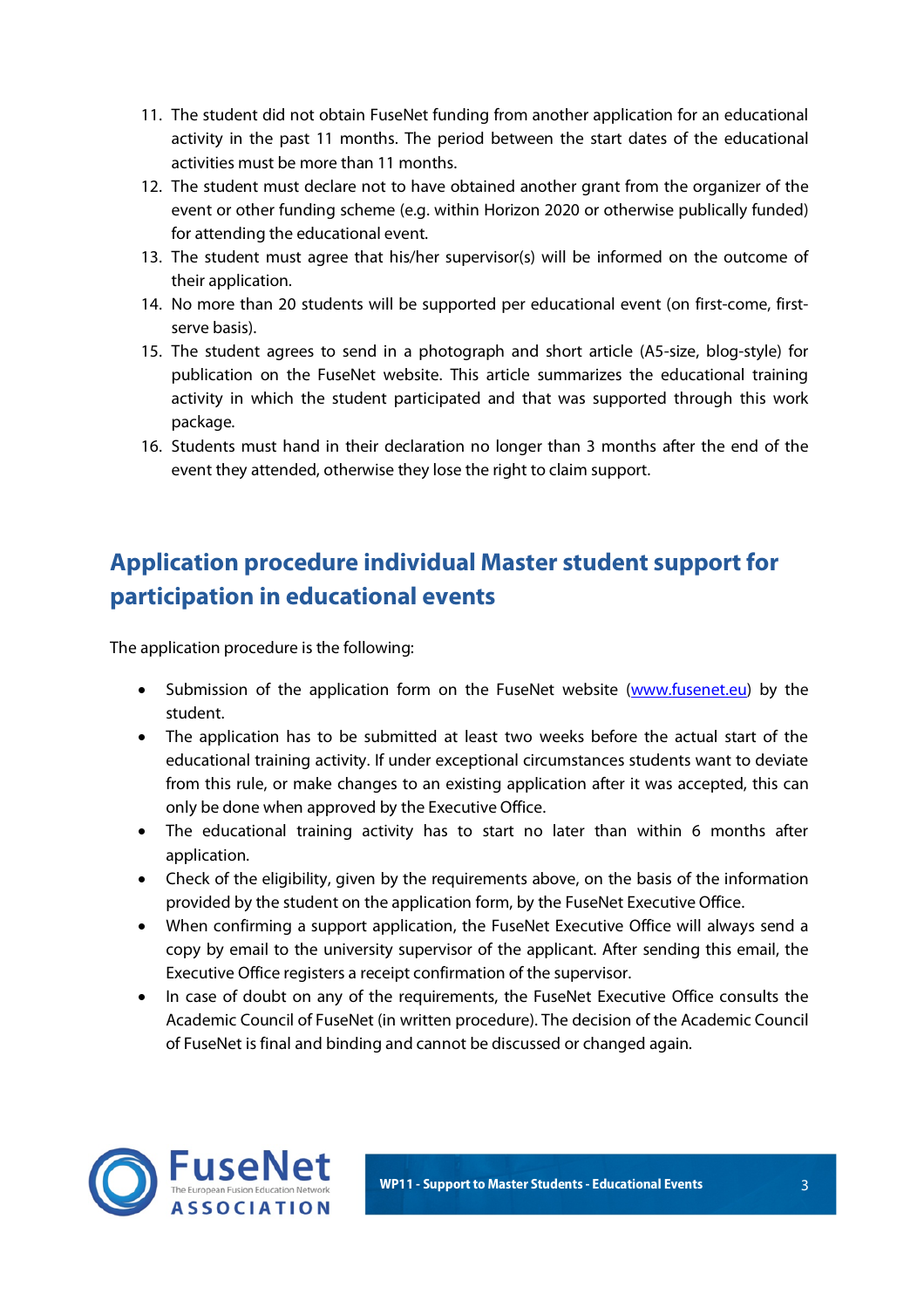- 11. The student did not obtain FuseNet funding from another application for an educational activity in the past 11 months. The period between the start dates of the educational activities must be more than 11 months.
- 12. The student must declare not to have obtained another grant from the organizer of the event or other funding scheme (e.g. within Horizon 2020 or otherwise publically funded) for attending the educational event.
- 13. The student must agree that his/her supervisor(s) will be informed on the outcome of their application.
- 14. No more than 20 students will be supported per educational event (on first-come, firstserve basis).
- 15. The student agrees to send in a photograph and short article (A5-size, blog-style) for publication on the FuseNet website. This article summarizes the educational training activity in which the student participated and that was supported through this work package.
- 16. Students must hand in their declaration no longer than 3 months after the end of the event they attended, otherwise they lose the right to claim support.

## **Application procedure individual Master student support for participation in educational events**

The application procedure is the following:

- Submission of the application form on the FuseNet website (www.fusenet.eu) by the student.
- The application has to be submitted at least two weeks before the actual start of the educational training activity. If under exceptional circumstances students want to deviate from this rule, or make changes to an existing application after it was accepted, this can only be done when approved by the Executive Office.
- The educational training activity has to start no later than within 6 months after application.
- Check of the eligibility, given by the requirements above, on the basis of the information provided by the student on the application form, by the FuseNet Executive Office.
- When confirming a support application, the FuseNet Executive Office will always send a copy by email to the university supervisor of the applicant. After sending this email, the Executive Office registers a receipt confirmation of the supervisor.
- In case of doubt on any of the requirements, the FuseNet Executive Office consults the Academic Council of FuseNet (in written procedure). The decision of the Academic Council of FuseNet is final and binding and cannot be discussed or changed again.

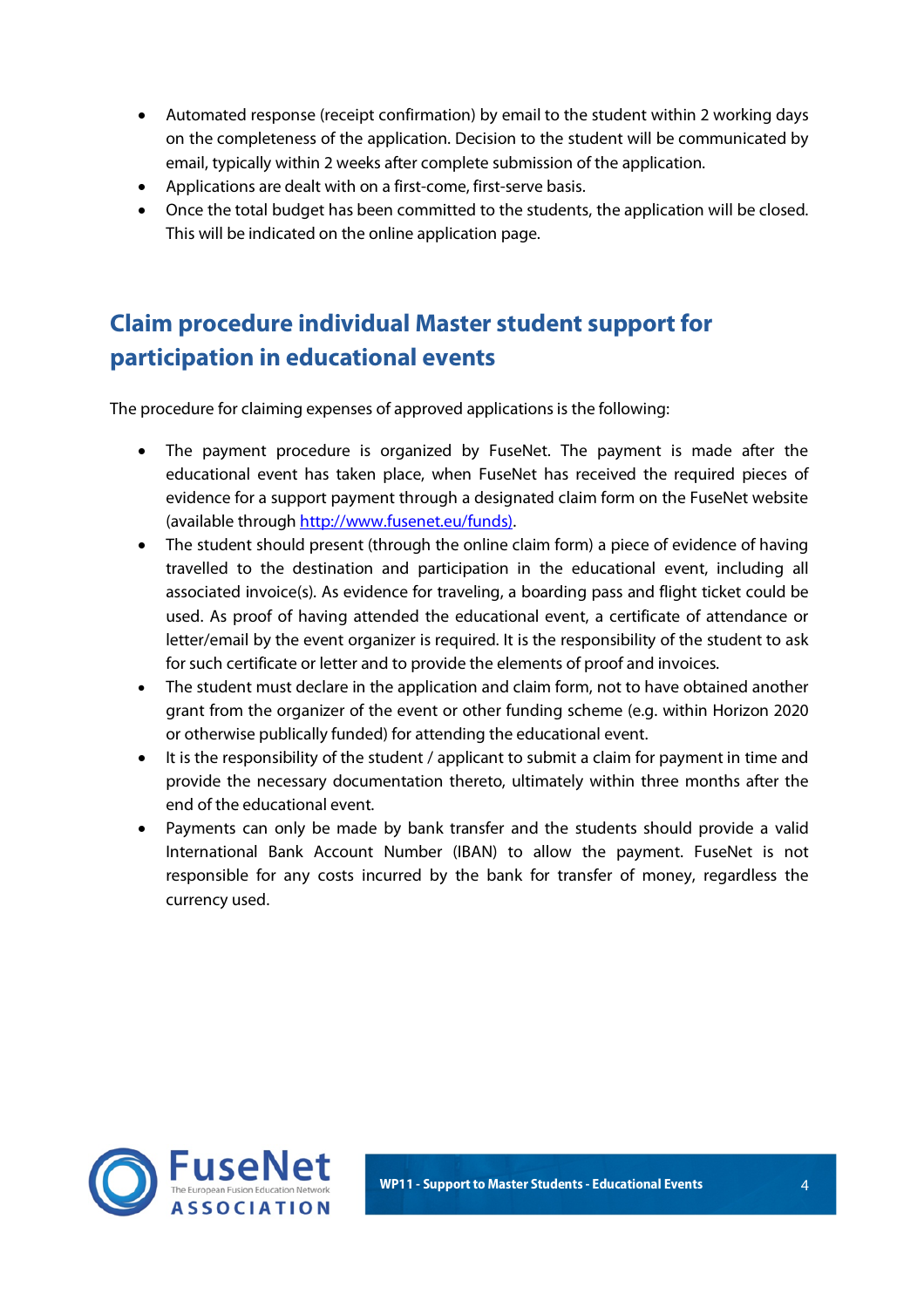- Automated response (receipt confirmation) by email to the student within 2 working days on the completeness of the application. Decision to the student will be communicated by email, typically within 2 weeks after complete submission of the application.
- Applications are dealt with on a first-come, first-serve basis.
- Once the total budget has been committed to the students, the application will be closed. This will be indicated on the online application page.

# **Claim procedure individual Master student support for participation in educational events**

The procedure for claiming expenses of approved applications is the following:

- The payment procedure is organized by FuseNet. The payment is made after the educational event has taken place, when FuseNet has received the required pieces of evidence for a support payment through a designated claim form on the FuseNet website (available through http://www.fusenet.eu/funds).
- The student should present (through the online claim form) a piece of evidence of having travelled to the destination and participation in the educational event, including all associated invoice(s). As evidence for traveling, a boarding pass and flight ticket could be used. As proof of having attended the educational event, a certificate of attendance or letter/email by the event organizer is required. It is the responsibility of the student to ask for such certificate or letter and to provide the elements of proof and invoices.
- The student must declare in the application and claim form, not to have obtained another grant from the organizer of the event or other funding scheme (e.g. within Horizon 2020 or otherwise publically funded) for attending the educational event.
- It is the responsibility of the student / applicant to submit a claim for payment in time and provide the necessary documentation thereto, ultimately within three months after the end of the educational event.
- Payments can only be made by bank transfer and the students should provide a valid International Bank Account Number (IBAN) to allow the payment. FuseNet is not responsible for any costs incurred by the bank for transfer of money, regardless the currency used.

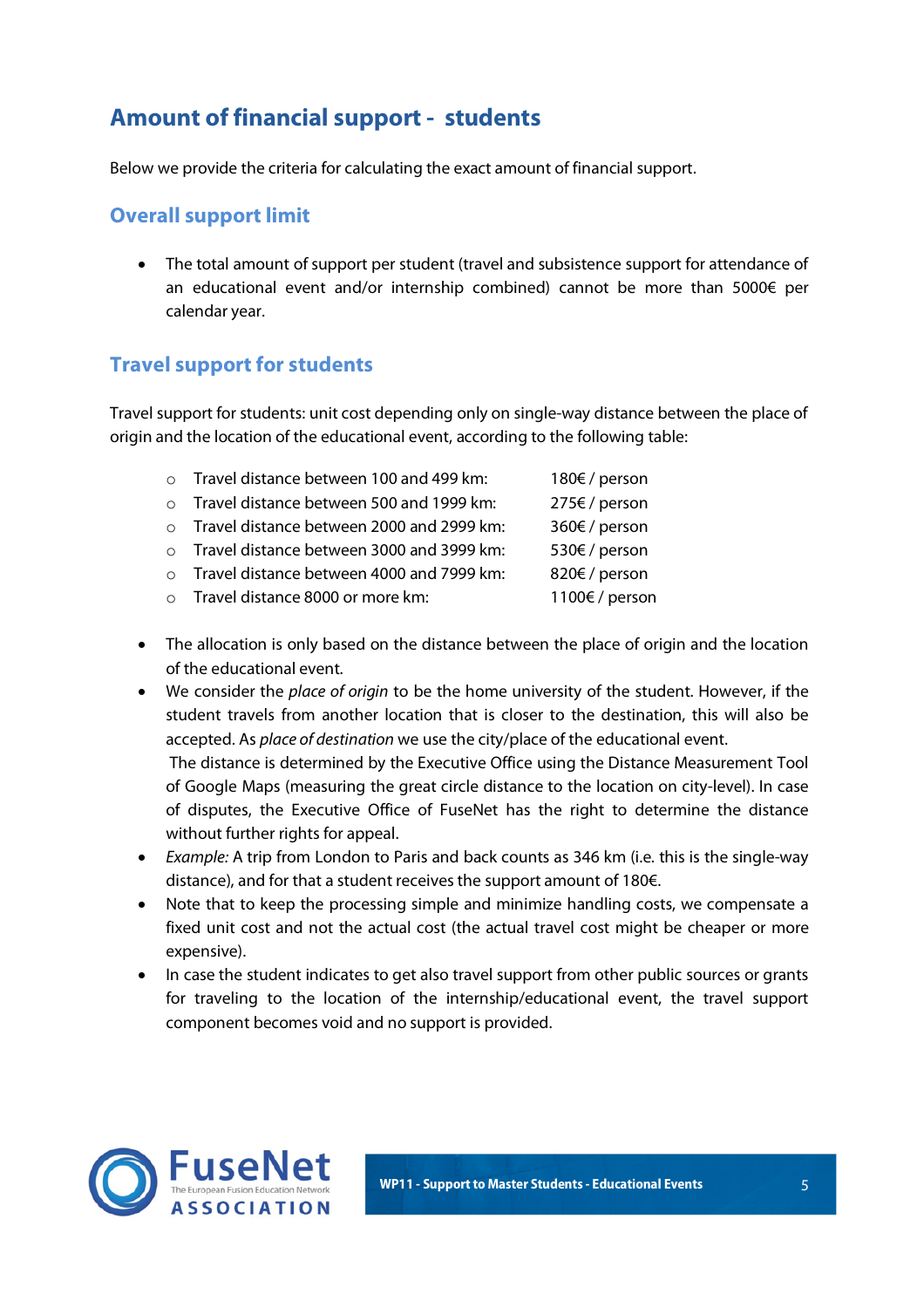## **Amount of financial support - students**

Below we provide the criteria for calculating the exact amount of financial support.

#### **Overall support limit**

• The total amount of support per student (travel and subsistence support for attendance of an educational event and/or internship combined) cannot be more than 5000€ per calendar year.

#### **Travel support for students**

Travel support for students: unit cost depending only on single-way distance between the place of origin and the location of the educational event, according to the following table:

| $\circ$   | Travel distance between 100 and 499 km:   | 180€ / person  |
|-----------|-------------------------------------------|----------------|
| $\bigcap$ | Travel distance between 500 and 1999 km:  | 275€ / person  |
| $\bigcap$ | Travel distance between 2000 and 2999 km: | 360€ / person  |
| $\bigcap$ | Travel distance between 3000 and 3999 km: | 530€ / person  |
| $\bigcap$ | Travel distance between 4000 and 7999 km: | 820€ / person  |
|           | o Travel distance 8000 or more km:        | 1100€ / person |

- The allocation is only based on the distance between the place of origin and the location of the educational event.
- We consider the *place of origin* to be the home university of the student. However, if the student travels from another location that is closer to the destination, this will also be accepted. As *place of destination* we use the city/place of the educational event.

The distance is determined by the Executive Office using the Distance Measurement Tool of Google Maps (measuring the great circle distance to the location on city-level). In case of disputes, the Executive Office of FuseNet has the right to determine the distance without further rights for appeal.

- *Example:* A trip from London to Paris and back counts as 346 km (i.e. this is the single-way distance), and for that a student receives the support amount of 180€.
- Note that to keep the processing simple and minimize handling costs, we compensate a fixed unit cost and not the actual cost (the actual travel cost might be cheaper or more expensive).
- In case the student indicates to get also travel support from other public sources or grants for traveling to the location of the internship/educational event, the travel support component becomes void and no support is provided.